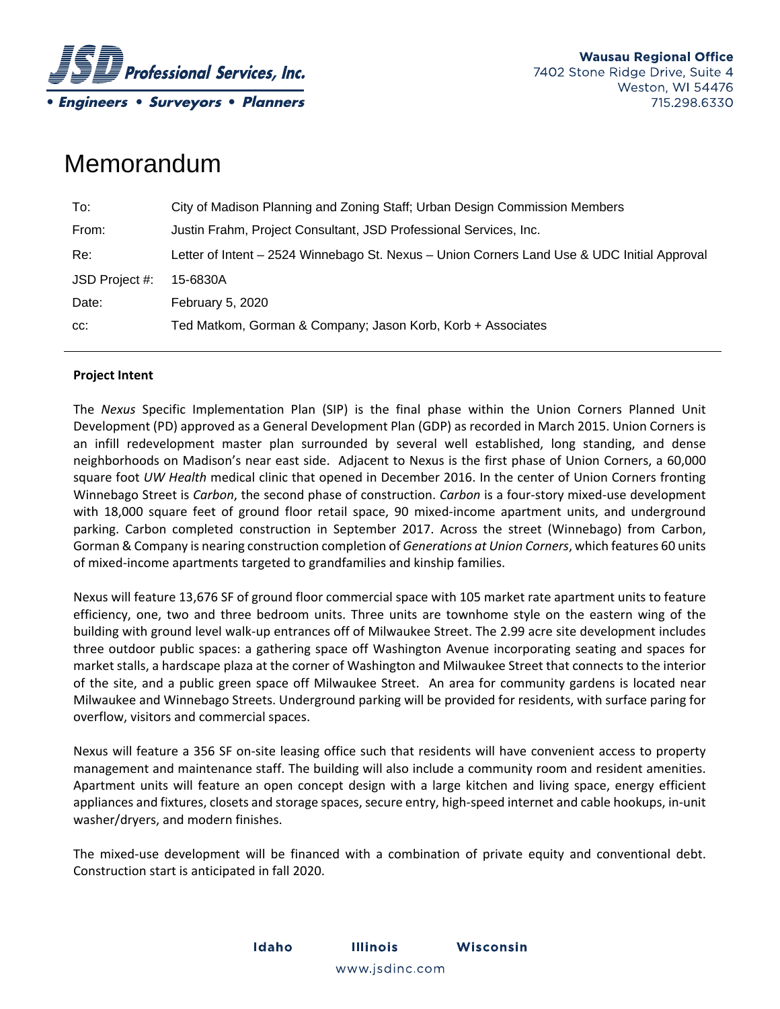

# Memorandum

| To:            | City of Madison Planning and Zoning Staff; Urban Design Commission Members                  |
|----------------|---------------------------------------------------------------------------------------------|
| From:          | Justin Frahm, Project Consultant, JSD Professional Services, Inc.                           |
| Re:            | Letter of Intent - 2524 Winnebago St. Nexus - Union Corners Land Use & UDC Initial Approval |
| JSD Project #: | 15-6830A                                                                                    |
| Date:          | February 5, 2020                                                                            |
| CC:            | Ted Matkom, Gorman & Company; Jason Korb, Korb + Associates                                 |

## **Project Intent**

The *Nexus* Specific Implementation Plan (SIP) is the final phase within the Union Corners Planned Unit Development (PD) approved as a General Development Plan (GDP) as recorded in March 2015. Union Corners is an infill redevelopment master plan surrounded by several well established, long standing, and dense neighborhoods on Madison's near east side. Adjacent to Nexus is the first phase of Union Corners, a 60,000 square foot *UW Health* medical clinic that opened in December 2016. In the center of Union Corners fronting Winnebago Street is *Carbon*, the second phase of construction. *Carbon* is a four‐story mixed‐use development with 18,000 square feet of ground floor retail space, 90 mixed-income apartment units, and underground parking. Carbon completed construction in September 2017. Across the street (Winnebago) from Carbon, Gorman & Company is nearing construction completion of *Generations at Union Corners*, which features 60 units of mixed‐income apartments targeted to grandfamilies and kinship families.

Nexus will feature 13,676 SF of ground floor commercial space with 105 market rate apartment units to feature efficiency, one, two and three bedroom units. Three units are townhome style on the eastern wing of the building with ground level walk‐up entrances off of Milwaukee Street. The 2.99 acre site development includes three outdoor public spaces: a gathering space off Washington Avenue incorporating seating and spaces for market stalls, a hardscape plaza at the corner of Washington and Milwaukee Street that connects to the interior of the site, and a public green space off Milwaukee Street. An area for community gardens is located near Milwaukee and Winnebago Streets. Underground parking will be provided for residents, with surface paring for overflow, visitors and commercial spaces.

Nexus will feature a 356 SF on‐site leasing office such that residents will have convenient access to property management and maintenance staff. The building will also include a community room and resident amenities. Apartment units will feature an open concept design with a large kitchen and living space, energy efficient appliances and fixtures, closets and storage spaces, secure entry, high‐speed internet and cable hookups, in‐unit washer/dryers, and modern finishes.

The mixed‐use development will be financed with a combination of private equity and conventional debt. Construction start is anticipated in fall 2020.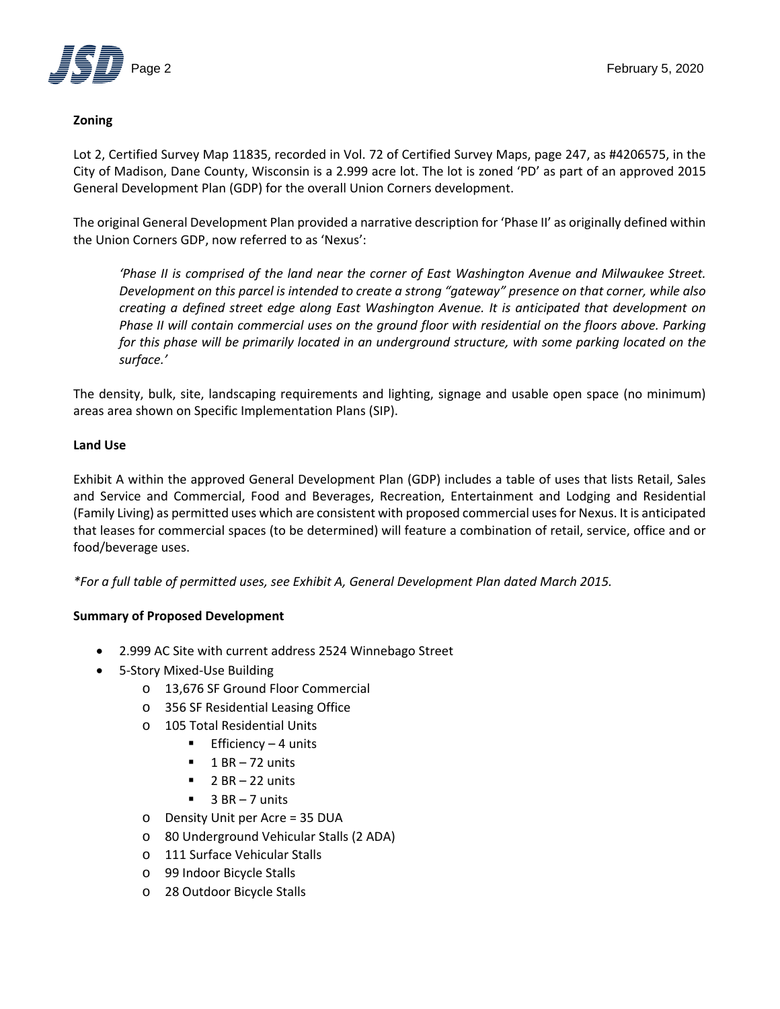

## **Zoning**

Lot 2, Certified Survey Map 11835, recorded in Vol. 72 of Certified Survey Maps, page 247, as #4206575, in the City of Madison, Dane County, Wisconsin is a 2.999 acre lot. The lot is zoned 'PD' as part of an approved 2015 General Development Plan (GDP) for the overall Union Corners development.

The original General Development Plan provided a narrative description for 'Phase II' as originally defined within the Union Corners GDP, now referred to as 'Nexus':

*'Phase II is comprised of the land near the corner of East Washington Avenue and Milwaukee Street. Development on this parcel is intended to create a strong "gateway" presence on that corner, while also creating a defined street edge along East Washington Avenue. It is anticipated that development on Phase II will contain commercial uses on the ground floor with residential on the floors above. Parking for this phase will be primarily located in an underground structure, with some parking located on the surface.'*

The density, bulk, site, landscaping requirements and lighting, signage and usable open space (no minimum) areas area shown on Specific Implementation Plans (SIP).

## **Land Use**

Exhibit A within the approved General Development Plan (GDP) includes a table of uses that lists Retail, Sales and Service and Commercial, Food and Beverages, Recreation, Entertainment and Lodging and Residential (Family Living) as permitted uses which are consistent with proposed commercial usesfor Nexus. It is anticipated that leases for commercial spaces (to be determined) will feature a combination of retail, service, office and or food/beverage uses.

*\*For a full table of permitted uses, see Exhibit A, General Development Plan dated March 2015.*

## **Summary of Proposed Development**

- 2.999 AC Site with current address 2524 Winnebago Street
- 5-Story Mixed-Use Building
	- o 13,676 SF Ground Floor Commercial
	- o 356 SF Residential Leasing Office
	- o 105 Total Residential Units
		- **Efficiency 4 units**
		- $\blacksquare$  1 BR 72 units
		- $\blacksquare$  2 BR 22 units
		- $\blacksquare$  3 BR 7 units
	- o Density Unit per Acre = 35 DUA
	- o 80 Underground Vehicular Stalls (2 ADA)
	- o 111 Surface Vehicular Stalls
	- o 99 Indoor Bicycle Stalls
	- o 28 Outdoor Bicycle Stalls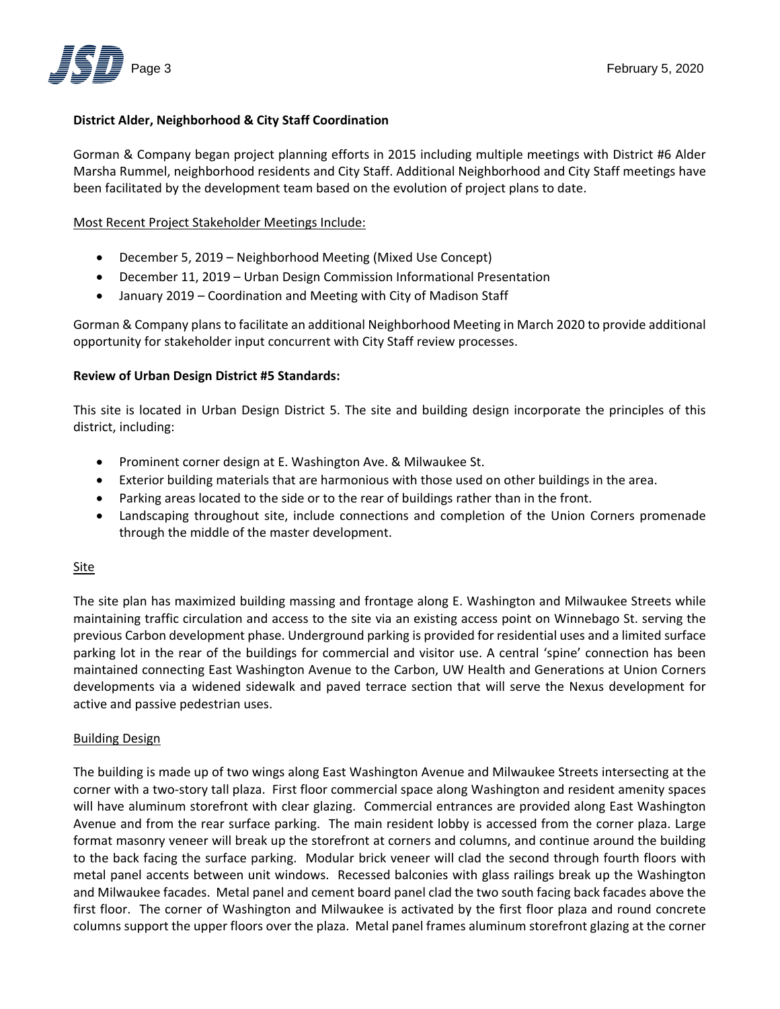

## **District Alder, Neighborhood & City Staff Coordination**

Gorman & Company began project planning efforts in 2015 including multiple meetings with District #6 Alder Marsha Rummel, neighborhood residents and City Staff. Additional Neighborhood and City Staff meetings have been facilitated by the development team based on the evolution of project plans to date.

### Most Recent Project Stakeholder Meetings Include:

- December 5, 2019 Neighborhood Meeting (Mixed Use Concept)
- December 11, 2019 Urban Design Commission Informational Presentation
- January 2019 Coordination and Meeting with City of Madison Staff

Gorman & Company plans to facilitate an additional Neighborhood Meeting in March 2020 to provide additional opportunity for stakeholder input concurrent with City Staff review processes.

#### **Review of Urban Design District #5 Standards:**

This site is located in Urban Design District 5. The site and building design incorporate the principles of this district, including:

- Prominent corner design at E. Washington Ave. & Milwaukee St.
- Exterior building materials that are harmonious with those used on other buildings in the area.
- Parking areas located to the side or to the rear of buildings rather than in the front.
- Landscaping throughout site, include connections and completion of the Union Corners promenade through the middle of the master development.

## Site

The site plan has maximized building massing and frontage along E. Washington and Milwaukee Streets while maintaining traffic circulation and access to the site via an existing access point on Winnebago St. serving the previous Carbon development phase. Underground parking is provided for residential uses and a limited surface parking lot in the rear of the buildings for commercial and visitor use. A central 'spine' connection has been maintained connecting East Washington Avenue to the Carbon, UW Health and Generations at Union Corners developments via a widened sidewalk and paved terrace section that will serve the Nexus development for active and passive pedestrian uses.

#### Building Design

The building is made up of two wings along East Washington Avenue and Milwaukee Streets intersecting at the corner with a two‐story tall plaza. First floor commercial space along Washington and resident amenity spaces will have aluminum storefront with clear glazing. Commercial entrances are provided along East Washington Avenue and from the rear surface parking. The main resident lobby is accessed from the corner plaza. Large format masonry veneer will break up the storefront at corners and columns, and continue around the building to the back facing the surface parking. Modular brick veneer will clad the second through fourth floors with metal panel accents between unit windows. Recessed balconies with glass railings break up the Washington and Milwaukee facades. Metal panel and cement board panel clad the two south facing back facades above the first floor. The corner of Washington and Milwaukee is activated by the first floor plaza and round concrete columns support the upper floors over the plaza. Metal panel frames aluminum storefront glazing at the corner